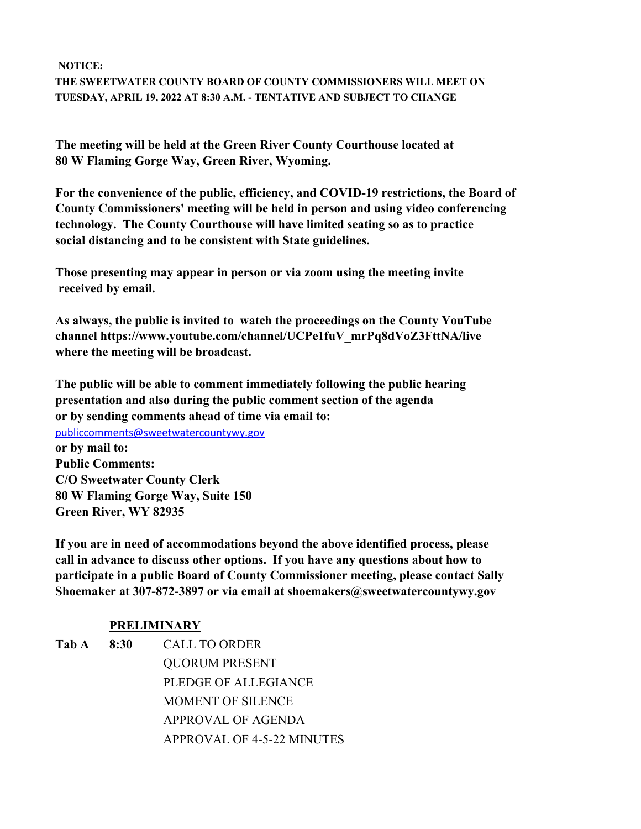**NOTICE: THE SWEETWATER COUNTY BOARD OF COUNTY COMMISSIONERS WILL MEET ON TUESDAY, APRIL 19, 2022 AT 8:30 A.M. - TENTATIVE AND SUBJECT TO CHANGE**

**The meeting will be held at the Green River County Courthouse located at 80 W Flaming Gorge Way, Green River, Wyoming.**

**For the convenience of the public, efficiency, and COVID-19 restrictions, the Board of County Commissioners' meeting will be held in person and using video conferencing technology. The County Courthouse will have limited seating so as to practice social distancing and to be consistent with State guidelines.**

**Those presenting may appear in person or via zoom using the meeting invite received by email.**

**As always, the public is invited to watch the proceedings on the County YouTube channel https://www.youtube.com/channel/UCPe1fuV\_mrPq8dVoZ3FttNA/live where the meeting will be broadcast.** 

**The public will be able to comment immediately following the public hearing presentation and also during the public comment section of the agenda or by sending comments ahead of time via email to:** 

publiccomments@sweetwatercountywy.gov

**or by mail to: Public Comments: C/O Sweetwater County Clerk 80 W Flaming Gorge Way, Suite 150 Green River, WY 82935**

**If you are in need of accommodations beyond the above identified process, please call in advance to discuss other options. If you have any questions about how to participate in a public Board of County Commissioner meeting, please contact Sally Shoemaker at 307-872-3897 or via email at shoemakers@sweetwatercountywy.gov** 

# **PRELIMINARY**

**Tab A 8:30** CALL TO ORDER QUORUM PRESENT PLEDGE OF ALLEGIANCE MOMENT OF SILENCE APPROVAL OF AGENDA APPROVAL OF 4-5-22 MINUTES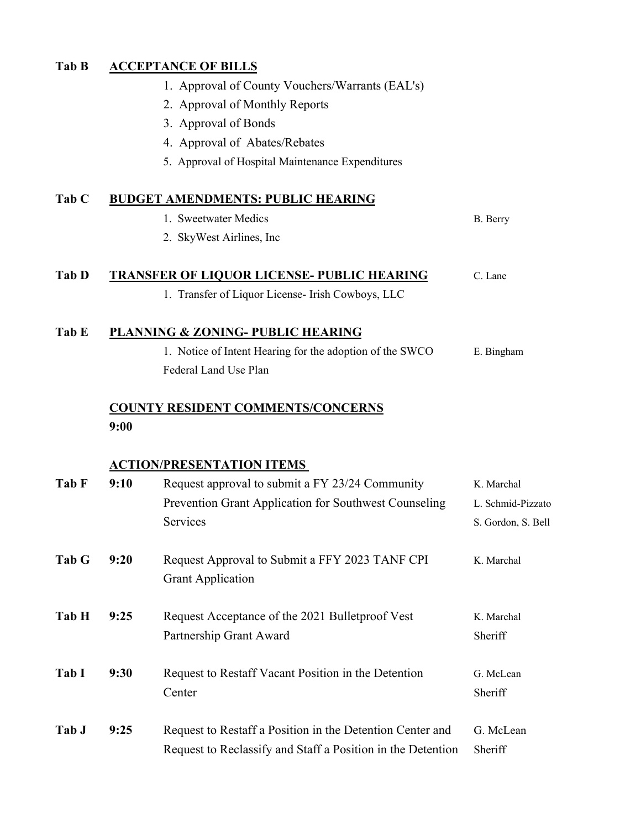## **Tab B ACCEPTANCE OF BILLS**

- 1. Approval of County Vouchers/Warrants (EAL's)
- 2. Approval of Monthly Reports
- 3. Approval of Bonds
- 4. Approval of Abates/Rebates
- 5. Approval of Hospital Maintenance Expenditures

## **Tab C BUDGET AMENDMENTS: PUBLIC HEARING**

- 1. Sweetwater Medics B. Berry
- 2. SkyWest Airlines, Inc

## Tab D TRANSFER OF LIQUOR LICENSE- PUBLIC HEARING C. Lane

1. Transfer of Liquor License- Irish Cowboys, LLC

#### **Tab E PLANNING & ZONING- PUBLIC HEARING**

1. Notice of Intent Hearing for the adoption of the SWCO E. Bingham Federal Land Use Plan

# **COUNTY RESIDENT COMMENTS/CONCERNS 9:00**

#### **ACTION/PRESENTATION ITEMS**

| Tab F | 9:10 | Request approval to submit a FY 23/24 Community                                                                          | K. Marchal            |
|-------|------|--------------------------------------------------------------------------------------------------------------------------|-----------------------|
|       |      | Prevention Grant Application for Southwest Counseling                                                                    | L. Schmid-Pizzato     |
|       |      | Services                                                                                                                 | S. Gordon, S. Bell    |
| Tab G | 9:20 | Request Approval to Submit a FFY 2023 TANF CPI<br><b>Grant Application</b>                                               | K. Marchal            |
| Tab H | 9:25 | Request Acceptance of the 2021 Bullet proof Vest<br>Partnership Grant Award                                              | K. Marchal<br>Sheriff |
| Tab I | 9:30 | Request to Restaff Vacant Position in the Detention<br>Center                                                            | G. McLean<br>Sheriff  |
| Tab J | 9:25 | Request to Restaff a Position in the Detention Center and<br>Request to Reclassify and Staff a Position in the Detention | G. McLean<br>Sheriff  |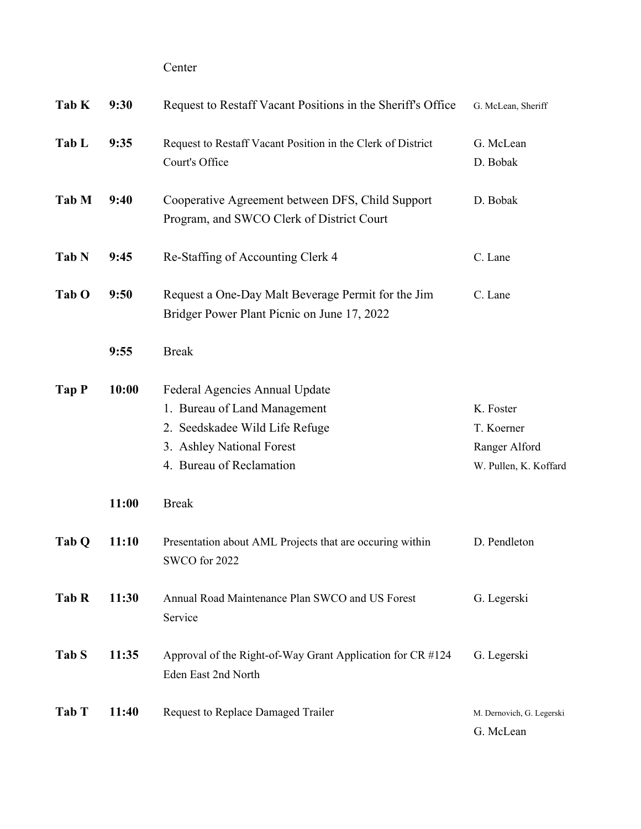Center

| Tab K | 9:30  | Request to Restaff Vacant Positions in the Sheriff's Office                                                                                               | G. McLean, Sheriff                                                |
|-------|-------|-----------------------------------------------------------------------------------------------------------------------------------------------------------|-------------------------------------------------------------------|
| Tab L | 9:35  | Request to Restaff Vacant Position in the Clerk of District<br>Court's Office                                                                             | G. McLean<br>D. Bobak                                             |
| Tab M | 9:40  | Cooperative Agreement between DFS, Child Support<br>Program, and SWCO Clerk of District Court                                                             | D. Bobak                                                          |
| Tab N | 9:45  | Re-Staffing of Accounting Clerk 4                                                                                                                         | C. Lane                                                           |
| Tab O | 9:50  | Request a One-Day Malt Beverage Permit for the Jim<br>Bridger Power Plant Picnic on June 17, 2022                                                         | C. Lane                                                           |
|       | 9:55  | <b>Break</b>                                                                                                                                              |                                                                   |
| Tap P | 10:00 | Federal Agencies Annual Update<br>1. Bureau of Land Management<br>2. Seedskadee Wild Life Refuge<br>3. Ashley National Forest<br>4. Bureau of Reclamation | K. Foster<br>T. Koerner<br>Ranger Alford<br>W. Pullen, K. Koffard |
|       | 11:00 | <b>Break</b>                                                                                                                                              |                                                                   |
| Tab Q | 11:10 | Presentation about AML Projects that are occuring within<br>SWCO for 2022                                                                                 | D. Pendleton                                                      |
| Tab R | 11:30 | Annual Road Maintenance Plan SWCO and US Forest<br>Service                                                                                                | G. Legerski                                                       |
| Tab S | 11:35 | Approval of the Right-of-Way Grant Application for CR #124<br>Eden East 2nd North                                                                         | G. Legerski                                                       |
| Tab T | 11:40 | Request to Replace Damaged Trailer                                                                                                                        | M. Dernovich, G. Legerski<br>G. McLean                            |